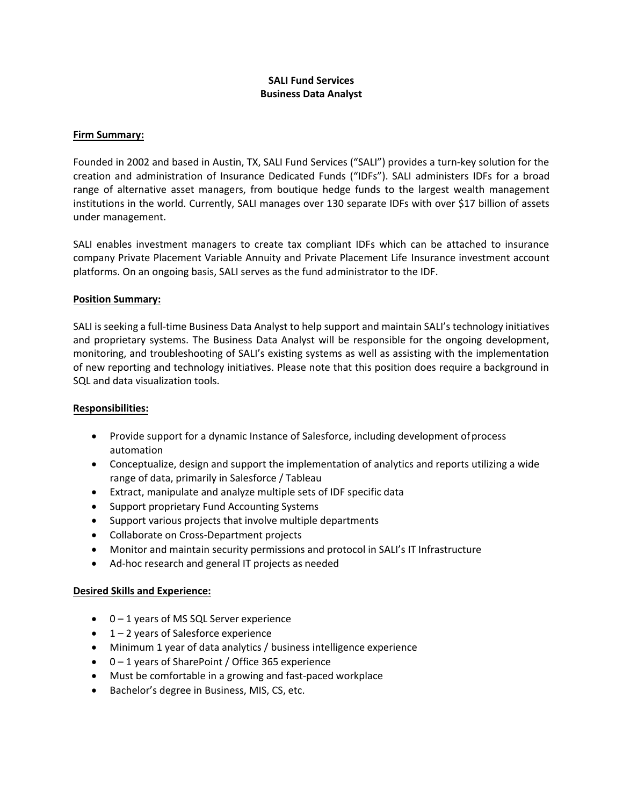## **SALI Fund Services Business Data Analyst**

#### **Firm Summary:**

Founded in 2002 and based in Austin, TX, SALI Fund Services ("SALI") provides a turn-key solution for the creation and administration of Insurance Dedicated Funds ("IDFs"). SALI administers IDFs for a broad range of alternative asset managers, from boutique hedge funds to the largest wealth management institutions in the world. Currently, SALI manages over 130 separate IDFs with over \$17 billion of assets under management.

SALI enables investment managers to create tax compliant IDFs which can be attached to insurance company Private Placement Variable Annuity and Private Placement Life Insurance investment account platforms. On an ongoing basis, SALI serves as the fund administrator to the IDF.

### **Position Summary:**

SALI is seeking a full‐time Business Data Analyst to help support and maintain SALI's technology initiatives and proprietary systems. The Business Data Analyst will be responsible for the ongoing development, monitoring, and troubleshooting of SALI's existing systems as well as assisting with the implementation of new reporting and technology initiatives. Please note that this position does require a background in SQL and data visualization tools.

### **Responsibilities:**

- Provide support for a dynamic Instance of Salesforce, including development ofprocess automation
- Conceptualize, design and support the implementation of analytics and reports utilizing a wide range of data, primarily in Salesforce / Tableau
- Extract, manipulate and analyze multiple sets of IDF specific data
- Support proprietary Fund Accounting Systems
- Support various projects that involve multiple departments
- Collaborate on Cross‐Department projects
- Monitor and maintain security permissions and protocol in SALI's IT Infrastructure
- Ad-hoc research and general IT projects as needed

#### **Desired Skills and Experience:**

- 0 1 years of MS SQL Server experience
- $\bullet$  1 2 years of Salesforce experience
- Minimum 1 year of data analytics / business intelligence experience
- 0 1 years of SharePoint / Office 365 experience
- Must be comfortable in a growing and fast‐paced workplace
- Bachelor's degree in Business, MIS, CS, etc.